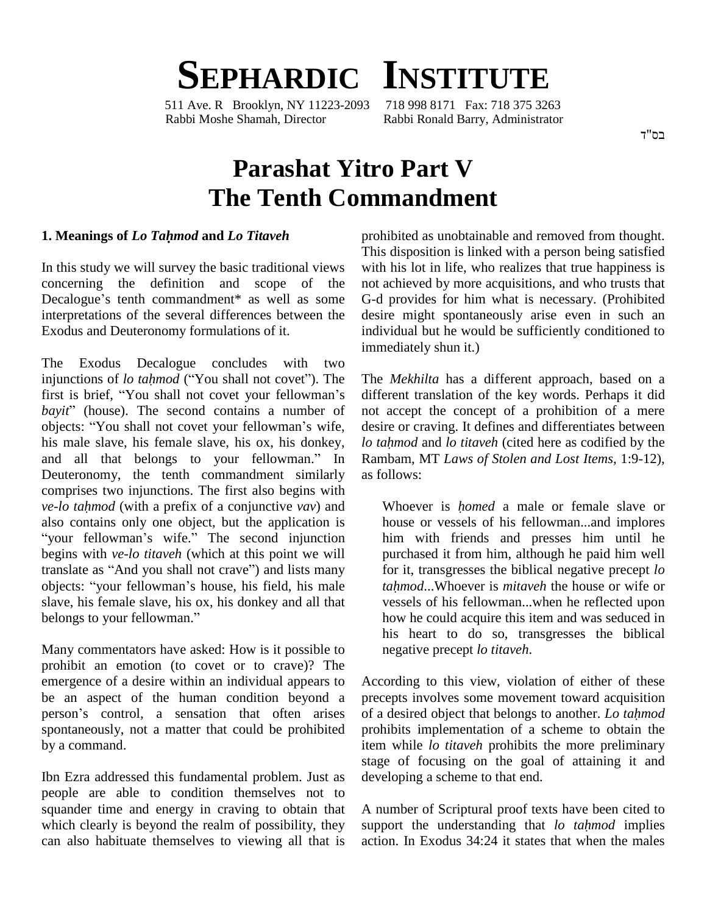# **SEPHARDIC INSTITUTE**<br>1 Ave. R Brooklyn. NY 11223-2093 718 998 8171 Fax: 718 375 3263

511 Ave. R Brooklyn, NY 11223-2093 Rabbi Moshe Shamah, Director Rabbi Ronald Barry, Administrator

## **Parashat Yitro Part V The Tenth Commandment**

#### **1. Meanings of** *Lo Tahmod* **and** *Lo Titaveh*

In this study we will survey the basic traditional views concerning the definition and scope of the Decalogue's tenth commandment\* as well as some interpretations of the several differences between the Exodus and Deuteronomy formulations of it.

The Exodus Decalogue concludes with two injunctions of *lo tahmod* ("You shall not covet"). The The Exodus Decalogue concludes with two<br>injunctions of *lo tahmod* ("You shall not covet"). The The<br>first is brief, "You shall not covet your fellowman's diffe injunctions of *lo tahmod* ("You shall not covet"). The The first is brief, "You shall not covet your fellowman's diff bayit" (house). The second contains a number of not first is brief, "You shall not covet your fellowman's di<br>bayit" (house). The second contains a number of no<br>objects: "You shall not covet your fellowman's wife, do his male slave, his female slave, his ox, his donkey, lo tahmod and lo titaveh (cited here as codified by the belongthat objects: "You shall not covet your fellowman's wife, his male slave, his female slave, his ox, his donkey, and all that belongs to your fellowman." In Deuteronomy, the tenth commandment similarly as foll comprises two injunctions. The first also begins with *ve-lo tahmod* (with a prefix of a conjunctive *vav*) and W comprises two injunctions. The first also begins with ve-lo tahmod (with a prefix of a conjunctive vav) and<br>also contains only one object, but the application is index<br>"your fellowman's wife." The second injunction hil begins with *ve-lo titaveh* (which at this point we will "your fellowman's wife." The second injunction his begins with *ve-lo titaveh* (which at this point we will put translate as "And you shall not crave") and lists many for begins with *ve-lo titaveh* (which at this point we will<br>translate as "And you shall not crave") and lists many for<br>objects: "your fellowman's house, his field, his male to slave, his female slave, his ox, his donkey and all that objects: "your fellowman's house, have, his female slave, his ox, his d<br>belongs to your fellowman."

Many commentators have asked: How is it possible to prohibit an emotion (to covet or to crave)? The emergence of a desire within an individual appears to be an aspect of the human condition beyond a person's control, a sensation that often arises spontaneously, not a matter that could be prohibited by a command.

Ibn Ezra addressed this fundamental problem. Just as people are able to condition themselves not to squander time and energy in craving to obtain that which clearly is beyond the realm of possibility, they can also habituate themselves to viewing all that is prohibited as unobtainable and removed from thought. This disposition is linked with a person being satisfied with his lot in life, who realizes that true happiness is not achieved by more acquisitions, and who trusts that G-d provides for him what is necessary. (Prohibited desire might spontaneously arise even in such an individual but he would be sufficiently conditioned to immediately shun it.)

The *Mekhilta* has a different approach, based on a different translation of the key words. Perhaps it did not accept the concept of a prohibition of a mere desire or craving. It defines and differentiates between not accept the concept of a prohibition of a mere<br>desire or craving. It defines and differentiates between<br>*lo tahmod* and *lo titaveh* (cited here as codified by the Rambam, MT *Laws of Stolen and Lost Items*, 1:9-12), as follows:

Whoever is *<sup>h</sup>omed* <sup>a</sup> male or female slave or house or vessels of his fellowman...and implores him with friends and presses him until he purchased it from him, although he paid him well *tahmod*...Whoever is *mitaveh* the house or wife or for it, transgresses the biblical negative precept *lo* vessels of his fellowman...when he reflected upon how he could acquire this item and was seduced in his heart to do so, transgresses the biblical negative precept *lo titaveh*.

According to this view, violation of either of these precepts involves some movement toward acquisition of <sup>a</sup> desired object that belongs to another. *Lo tahmod* prohibits implementation of a scheme to obtain the item while *lo titaveh* prohibits the more preliminary stage of focusing on the goal of attaining it and developing a scheme to that end.

A number of Scriptural proof texts have been cited to support the understanding that *lo tahmod* implies action. In Exodus 34:24 it states that when the males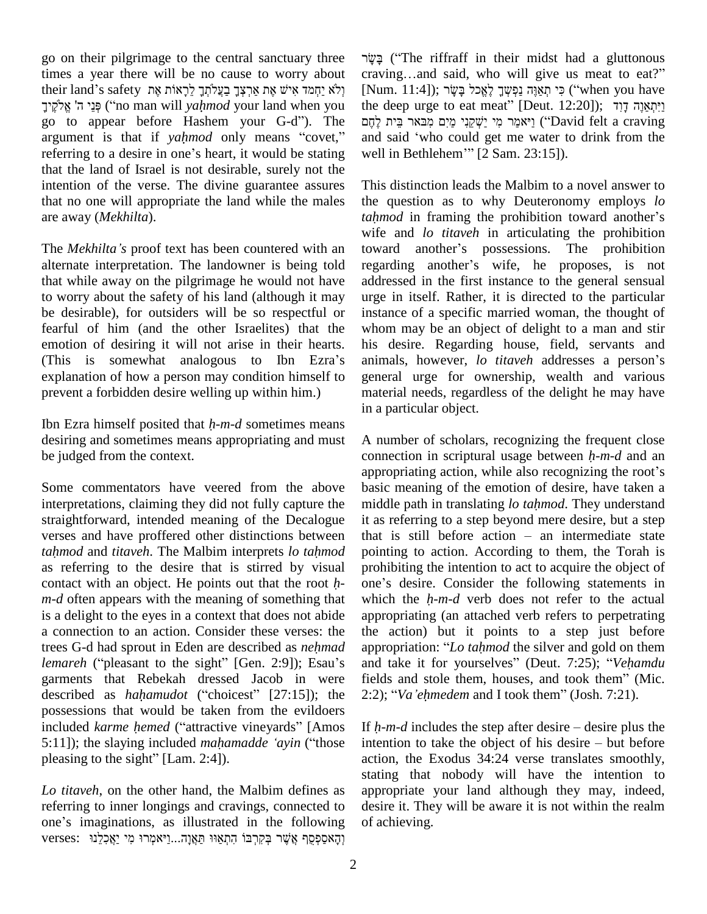go on their pilgrimage to the central sanctuary three times a year there will be no cause to worry about cra go on their pilgrimage to the central sanctuary three  $\gamma$ itimes a year there will be no cause to worry about cr<br>their land's safety אָמּ אֲרִצְּךָ בַעֲלֹתְךָ לֵכְאוֹת אֶת אַר a year there will be no cause to worry about cravin and's safety  $\eta$ אָת אַרְצְּךָ בַעֲלֹתְךָ לֵכְאוֹת אֶת (Num<br>קָנֵי ה' [Num] (לֹא יַחְמד אִישׁ אֶת אַרְצְּךָ בַעֲלֹתְךָ לִרְאוֹת ("no man will yahmod your land when you fheir land's safety וְלֹא יַחְמד אִישׁ אֶת אַרְצְּךָ בַעֲלֹתְךָ לַרָאוֹת אֶת (Nun יְלֹא יַחְמד אִישׁ הָוֹ<br/>o man will yahmod your land when you the d $g\bar{o}$ to appear <br/>before Hashem your G-d''). The יְהֶם  $\bar{g}$ פְּנֵי ה' אֱלֹקֶיך ("no man will *yahmod* your land when you the d<br>go to appear before Hashem your G-d"). The  $\frac{1}{2}$ referring to appear before Hashem your G-d"). The *קהם*<br>argument is that if *yahmod* only means "covet," and sate referring to a desire in one's heart, it would be stating well in that the land of Israel is not desirable, surely not the intention of the verse. The divine guarantee assures that no one will appropriate the land while the males are away (*Mekhilta*).

alternate interpretation. The landowner is being told regarding another's wife, he proposes, is not that while away on the pilgrimage he would not have to worry about the safety of his land (although it may be desirable), for outsiders will be so respectful or fearful of him (and the other Israelites) that the whore<br>emotion of desiring it will not arise in their hearts. his<br>(This is somewhat analogous to Ibn Ezra's anim emotion of desiring it will not arise in their hearts. explanation of how a person may condition himself to prevent a forbidden desire welling up within him.)

Ibn Ezra himself posited that *<sup>h</sup>-m-d* sometimes means desiring and sometimes means appropriating and must be judged from the context.

Some commentators have veered from the above interpretations, claiming they did not fully capture the middle path in translating *lo tahmod*. They understand straightforward, intended meaning of the Decalogue verses and have proffered other distinctions between straightforward, intended meaning of the Decalogue it as reverses and have proffered other distinctions between that is *tahmod* and *titaveh*. The Malbim interprets *lo tahmod* pointing as referring to the desire that is stirred by visual tahmod and titaveh. The Malbim interprets lo tahmod pointing to action. According to them, the Torah is as referring to the desire that is stirred by visual prohibiting the intention to act to acquire the object of contact *m-d* often appears with the meaning of something that which the *h-m-d* verb does not refer to the actual is a delight to the eyes in a context that does not abide a connection to an action. Consider these verses: the trees G-d had sprout in Eden are described as *nehmad* a connection to an action. Consider these verses: the the trees G-d had sprout in Eden are described as *nehmad* approximate approximate to the sight" [Gen. 2:9]); Esau's and garments that Rebekah dressed Jacob in were fields and stole them, houses, and took them" (Mic. lemareh ("pleasant to the sight" [Gen. 2:9]); Esau's and t<br>garments that Rebekah dressed Jacob in were fields<br>described as *hahamudot* ("choicest" [27:15]); the 2:2); possessions that would be taken from the evildoers described as *hahamudot* ("choicest" [27:15]); the 2:2); "Va'ehmedem and I took them" (Josh. 7:21).<br>possessions that would be taken from the evildoers<br>included *karme hemed* ("attractive vineyards" [Amos If *h-m-d* include possessions that would be taken from the evildoers<br>included *karme hemed* ("attractive vineyards" [Amos If *h-r*,<br>5:11]); the slaying included *mahamadde* '*ayin* ("those inten included *karme hemed* ("attractive vir<br>5:11]); the slaying included *mahamad*<br>pleasing to the sight" [Lam. 2:4]).

*Lo titaveh*, on the other hand, the Malbim defines as referring to inner longings and cravings, connected to one's imaginations, as illustrated in the following verses: יְהָאסַפְסֻף אֲשֶׁר בְּקִרְבּוֹ הָתְאַוּוּ תַּאֲוָה...וַיֹּאמְרוּ מִי יַאֲכִלֵנוּ  ˎʕ (ìThe riffraff in their midst had <sup>a</sup> gluttonous בֶּשֶׂר ("The riffraff in their midst had a gluttonous<br>craving…and said, who will give us meat to eat?" בְשֶׂר ("The riffraff in their midst had a gluttonous craving...and said, who will give us meat to eat?"<br>[Num. 11:4]); כִּי תְאֲנֶהְ נַפְשְׁךָ לָאֱכל בָּשָׂר ("when you have the deep urge to eat meat" [Deut. 12:20]); יִיתְאֲנֵה דַוִד  $[Num. 11:4]$ ; כי תְאוָה נפָשֶׁך לָאֱכל בּשׂר ("when you have m. אָי תְאַנֶּה נַפְשְׁךָ לָאֱכל בָּשֶׂר); יִחְאֵנֶה בִּיִּשְׁךָ לִאֱכל בִּשֶׂר); זיִאֲמֶה דָוִד<br>leep urge to eat meat" [Deut. 12:20]); זיִאמַר מִי יַשְׁקֵנִי מַיִּם מִבּאר בֵּית the deep urge to eat meat" [Deut. 12:20]); יַיִּתְאֲוֶה דְוִד<br>יַאמַר מִי יַשְׁקֵנִי מַיִם מִבּאר בֵּית לֶחֶם ("David felt a craving and said 'who could get me water to drink from the יַאמֵר מִי יַשְׁקֵנִי מַיִם מְבַאר בֵּית לֶחֶם ("David f<br>and said 'who could get me water to dr<br>well in Bethlehem''' [2 Sam. 23:15]).

are away (*Mekhilta*).<br>
The *Mekhilta*<sup>'</sup>*s* proof text has been countered with an toward another's possessions. The prohibition The *Mekhilta*'s proof text has been countered with an toward another's possessions. The proh This distinction leads the Malbim to a novel answer to the question as to why Deuteronomy employs *lo* This distinction leads the Malbim to a novel answer to the question as to why Deuteronomy employs *lo tahmod* in framing the prohibition toward another's wife and *lo titaveh* in articulating the prohibition tahmod in framing the prohibition toward another's<br>wife and lo titaveh in articulating the prohibition<br>toward another's possessions. The prohibition wife and *lo titaveh* in articulating the prohibition<br>toward another's possessions. The prohibition<br>regarding another's wife, he proposes, is not addressed in the first instance to the general sensual urge in itself. Rather, it is directed to the particular instance of a specific married woman, the thought of whom may be an object of delight to a man and stir his desire. Regarding house, field, servants and whom may be an object of delight to a man and stir<br>his desire. Regarding house, field, servants and<br>animals, however, *lo titaveh* addresses a person's general urge for ownership, wealth and various material needs, regardless of the delight he may have in a particular object.

> A number of scholars, recognizing the frequent close connection in scriptural usage between *<sup>h</sup>-m-d* and an A number of scholars, recognizing the frequent close<br>connection in scriptural usage between  $h$ -m-d and an<br>appropriating action, while also recognizing the root's basic meaning of the emotion of desire, have taken a appropriating action, while also recognizing the root's<br>basic meaning of the emotion of desire, have taken a<br>middle path in translating *lo tahmod*. They understand it as referring to a step beyond mere desire, but a step middle path in translating *lo tahmod*. They understand<br>it as referring to a step beyond mere desire, but a step<br>that is still before action – an intermediate state pointing to action. According to them, the Torah is prohibiting the intention to act to acquire the object of pointing to action. According to them, the Torah is<br>prohibiting the intention to act to acquire the object of<br>one's desire. Consider the following statements in prohibiting the intention to act to acquire the object of one's desire. Consider the following statements in which the  $h$ -m-d verb does not refer to the actual appropriating (an attached verb refers to perpetrating the action) but it points to a step just before appropriating (an attached verb refers to perpetrating<br>the action) but it points to a step just before<br>appropriation: "*Lo tahmod* the silver and gold on them the action) but it points to a step just before appropriation: "*Lo tahmod* the silver and gold on them and take it for yourselves" (Deut. 7:25); "*Vehamdu* appropriation: "*Lo tahmod* the silver and gold on them<br>and take it for yourselves" (Deut. 7:25); "*Vehamdu*<br>fields and stole them, houses, and took them" (Mic. and take it for yourselves" (Deut. 7:25); "Vehamdu 2:2); "Va'ehmedem and I took them" (Josh. 7:21).

intention to take the object of his desire  $-$  but before action, the Exodus 34:24 verse translates smoothly, stating that nobody will have the intention to appropriate your land although they may, indeed, desire it. They will be aware it is not within the realm of achieving.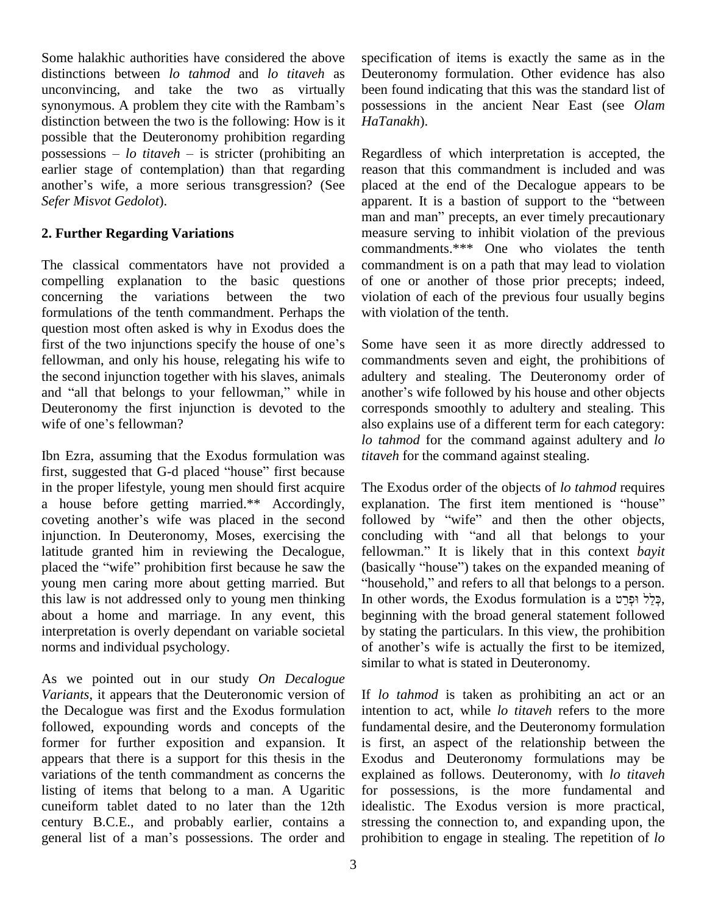Some halakhic authorities have considered the above distinctions between *lo tahmod* and *lo titaveh* as unconvincing, and take the two as virtually synonymous. A problem they cite with the Rambam's distinction between the two is the following: How is it *HaTar*<br>possible that the Deuteronomy prohibition regarding<br>possessions – *lo titaveh* – is stricter (prohibiting an Regard possible that the Deuteronomy prohibition regarding earlier stage of contemplation) than that regarding possessions  $-$  *lo titaveh*  $-$  is stricter (prohibiting an earlier stage of contemplation) than that regarding another's wife, a more serious transgression? (See *Sefer Misvot Gedolot*).

### **2. Further Regarding Variations**

The classical commentators have not provided a compelling explanation to the basic questions concerning the variations between the two formulations of the tenth commandment. Perhaps the question most often asked is why in Exodus does the first of the two injunctions specify the house of one's fellowman, and only his house, relegating his wife to the second injunction together with his slaves, animals fellowman, and only his house, relegating his wife to comm<br>the second injunction together with his slaves, animals adulte<br>and "all that belongs to your fellowman," while in another Deuteronomy the first injunction is devoted to the and "all that belongs to your fellow<br>Deuteronomy the first injunctio<br>wife of one's fellowman?

Ibn Ezra, assuming that the Exodus formulation was first, suggested that G-d placed "house" first because in the proper lifestyle, young men should first acquire The E<br>a house before getting married.\*\* Accordingly, explar<br>coveting another's wife was placed in the second follow a house before getting married.\*\* Accordingly, explanation. The first item mentioned is "house" injunction. In Deuteronomy, Moses, exercising the latitude granted him in reviewing the Decalogue, placed the "wife" prohibition first because he saw the young men caring more about getting married. But "household," and refers to all that belongs to a person. this law is not addressed only to young men thinking about a home and marriage. In any event, this interpretation is overly dependant on variable societal norms and individual psychology.

As we pointed out in our study *On Decalogue Variants*, it appears that the Deuteronomic version of the Decalogue was first and the Exodus formulation followed, expounding words and concepts of the former for further exposition and expansion. It appears that there is a support for this thesis in the variations of the tenth commandment as concerns the listing of items that belong to a man. A Ugaritic cuneiform tablet dated to no later than the 12th century B.C.E., and probably earlier, contains a cuneiform tablet dated to no later than the 12th idealise<br>century B.C.E., and probably earlier, contains a stressi<br>general list of a man's possessions. The order and prohib

specification of items is exactly the same as in the Deuteronomy formulation. Other evidence has also been found indicating that this was the standard list of possessions in the ancient Near East (see *Olam HaTanakh*).

Regardless of which interpretation is accepted, the reason that this commandment is included and was<br>placed at the end of the Decalogue appears to be<br>apparent. It is a bastion of support to the "between placed at the end of the Decalogue appears to be apparent. It is a bastion of support to the "between man and man" precepts, an ever timely precautionary measure serving to inhibit violation of the previous commandments.\*\*\* One who violates the tenth commandment is on a path that may lead to violation of one or another of those prior precepts; indeed, violation of each of the previous four usually begins with violation of the tenth.

Some have seen it as more directly addressed to commandments seven and eight, the prohibitions of adultery and stealing. The Deuteronomy order of another's wife followed by his house and other objects corresponds smoothly to adultery and stealing. This also explains use of a different term for each category: *lo tahmod* for the command against adultery and *lo titaveh* for the command against stealing.

The Exodus order of the objects of *lo tahmod* requires The Exodus order of the objects of *lo tahmod* requires explanation. The first item mentioned is "house" The Exodus order of the objects of *lo tahmod* requires explanation. The first item mentioned is "house" followed by "wife" and then the other objects, explanation. The first item mentioned is "house"<br>followed by "wife" and then the other objects,<br>concluding with "and all that belongs to your followed by "wife" and then the other objects,<br>concluding with "and all that belongs to your<br>fellowman." It is likely that in this context *bayit* concluding with "and all that belongs to your<br>fellowman." It is likely that in this context *bayit*<br>(basically "house") takes on the expanded meaning of fellowman." It is likely that in this context bayit (basically "house") takes on the expanded meaning of beginning with the broad general statement followed<br>by stating the particulars. In this view, the prohibition<br>of another's wife is actually the first to be itemized, by stating the particulars. In this view, the prohibition similar to what is stated in Deuteronomy.

If *lo tahmod* is taken as prohibiting an act or an intention to act, while *lo titaveh* refers to the more fundamental desire, and the Deuteronomy formulation is first, an aspect of the relationship between the Exodus and Deuteronomy formulations may be explained as follows. Deuteronomy, with *lo titaveh* for possessions, is the more fundamental and idealistic. The Exodus version is more practical, stressing the connection to, and expanding upon, the prohibition to engage in stealing. The repetition of *lo*